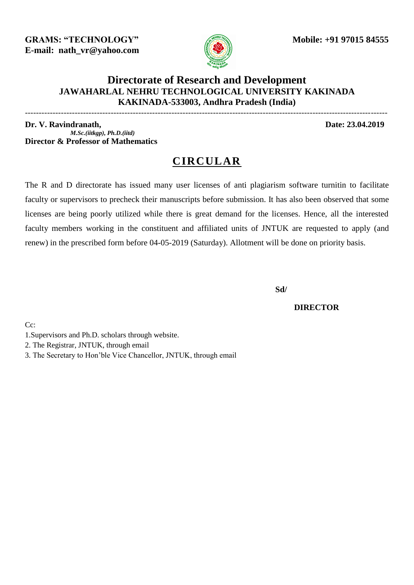**GRAMS: "TECHNOLOGY" Mobile: +91 97015 84555 E-mail: nath\_vr@yahoo.com** 



## **Directorate of Research and Development JAWAHARLAL NEHRU TECHNOLOGICAL UNIVERSITY KAKINADA KAKINADA-533003, Andhra Pradesh (India)**

-----------------------------------------------------------------------------------------------------------------------------------

**Dr. V. Ravindranath, Date: 23.04.2019** *M.Sc.(iitkgp), Ph.D.(iitd)* **Director & Professor of Mathematics**

## **CIRCULAR**

The R and D directorate has issued many user licenses of anti plagiarism software turnitin to facilitate faculty or supervisors to precheck their manuscripts before submission. It has also been observed that some licenses are being poorly utilized while there is great demand for the licenses. Hence, all the interested faculty members working in the constituent and affiliated units of JNTUK are requested to apply (and renew) in the prescribed form before 04-05-2019 (Saturday). Allotment will be done on priority basis.

**Sd/** 

 **DIRECTOR**

C<sub>c</sub>:

- 1.Supervisors and Ph.D. scholars through website.
- 2. The Registrar, JNTUK, through email
- 3. The Secretary to Hon'ble Vice Chancellor, JNTUK, through email